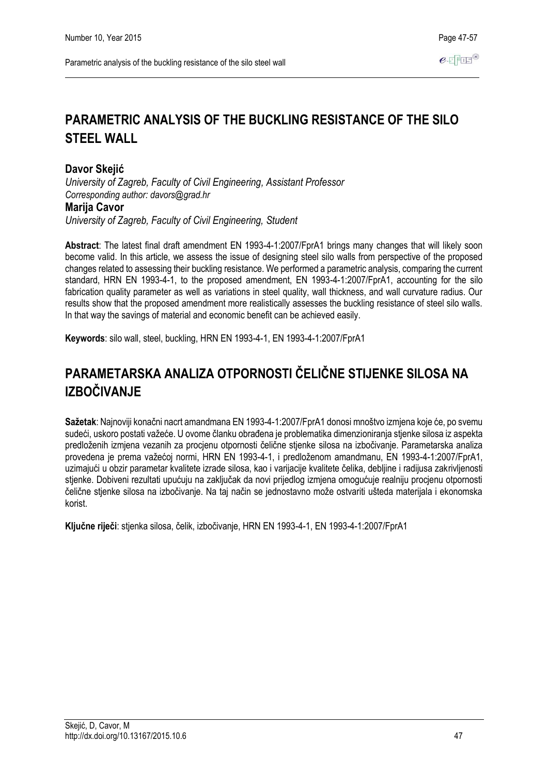# **Davor Skejić**

*University of Zagreb, Faculty of Civil Engineering, Assistant Professor Corresponding author: davors@grad.hr*

# **Marija Cavor**

*University of Zagreb, Faculty of Civil Engineering, Student*

**Abstract**: The latest final draft amendment EN 1993-4-1:2007/FprA1 brings many changes that will likely soon become valid. In this article, we assess the issue of designing steel silo walls from perspective of the proposed changes related to assessing their buckling resistance. We performed a parametric analysis, comparing the current standard, HRN EN 1993-4-1, to the proposed amendment, EN 1993-4-1:2007/FprA1, accounting for the silo fabrication quality parameter as well as variations in steel quality, wall thickness, and wall curvature radius. Our results show that the proposed amendment more realistically assesses the buckling resistance of steel silo walls. In that way the savings of material and economic benefit can be achieved easily.

**Keywords**: silo wall, steel, buckling, HRN EN 1993-4-1, EN 1993-4-1:2007/FprA1

# **PARAMETARSKA ANALIZA OTPORNOSTI ČELIČNE STIJENKE SILOSA NA IZBOČIVANJE**

**Sažetak**: Najnoviji konačni nacrt amandmana EN 1993-4-1:2007/FprA1 donosi mnoštvo izmjena koje će, po svemu sudeći, uskoro postati važeće. U ovome članku obrađena je problematika dimenzioniranja stjenke silosa iz aspekta predloženih izmjena vezanih za procjenu otpornosti čelične stjenke silosa na izbočivanje. Parametarska analiza provedena je prema važećoj normi, HRN EN 1993-4-1, i predloženom amandmanu, EN 1993-4-1:2007/FprA1, uzimajući u obzir parametar kvalitete izrade silosa, kao i varijacije kvalitete čelika, debljine i radijusa zakrivljenosti stienke. Dobiveni rezultati upućuju na zaključak da novi prijedlog izmjena omogućuje realniju procjenu otpornosti čelične stjenke silosa na izbočivanje. Na taj način se jednostavno može ostvariti ušteda materijala i ekonomska korist.

**Ključne riječi**: stjenka silosa, čelik, izbočivanje, HRN EN 1993-4-1, EN 1993-4-1:2007/FprA1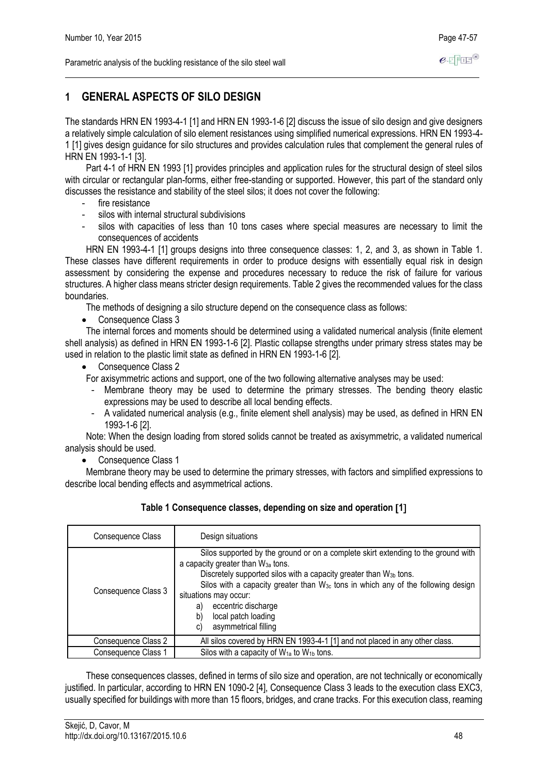# **1 GENERAL ASPECTS OF SILO DESIGN**

The standards HRN EN 1993-4-1 [1] and HRN EN 1993-1-6 [2] discuss the issue of silo design and give designers a relatively simple calculation of silo element resistances using simplified numerical expressions. HRN EN 1993-4- 1 [1] gives design guidance for silo structures and provides calculation rules that complement the general rules of HRN EN 1993-1-1 [3].

Part 4-1 of HRN EN 1993 [1] provides principles and application rules for the structural design of steel silos with circular or rectangular plan-forms, either free-standing or supported. However, this part of the standard only discusses the resistance and stability of the steel silos; it does not cover the following:

- fire resistance
- silos with internal structural subdivisions
- silos with capacities of less than 10 tons cases where special measures are necessary to limit the consequences of accidents

HRN EN 1993-4-1 [1] groups designs into three consequence classes: 1, 2, and 3, as shown in Table 1. These classes have different requirements in order to produce designs with essentially equal risk in design assessment by considering the expense and procedures necessary to reduce the risk of failure for various structures. A higher class means stricter design requirements. Table 2 gives the recommended values for the class boundaries.

The methods of designing a silo structure depend on the consequence class as follows:

• Consequence Class 3

The internal forces and moments should be determined using a validated numerical analysis (finite element shell analysis) as defined in HRN EN 1993-1-6 [2]. Plastic collapse strengths under primary stress states may be used in relation to the plastic limit state as defined in HRN EN 1993-1-6 [2].

- Consequence Class 2
- For axisymmetric actions and support, one of the two following alternative analyses may be used:
	- Membrane theory may be used to determine the primary stresses. The bending theory elastic expressions may be used to describe all local bending effects.
	- A validated numerical analysis (e.g., finite element shell analysis) may be used, as defined in HRN EN 1993-1-6 [2].

Note: When the design loading from stored solids cannot be treated as axisymmetric, a validated numerical analysis should be used.

• Consequence Class 1

Membrane theory may be used to determine the primary stresses, with factors and simplified expressions to describe local bending effects and asymmetrical actions.

| Consequence Class   | Design situations                                                                                                                                                                                                                                                                                                                                                                                                             |
|---------------------|-------------------------------------------------------------------------------------------------------------------------------------------------------------------------------------------------------------------------------------------------------------------------------------------------------------------------------------------------------------------------------------------------------------------------------|
| Consequence Class 3 | Silos supported by the ground or on a complete skirt extending to the ground with<br>a capacity greater than W <sub>3a</sub> tons.<br>Discretely supported silos with a capacity greater than W <sub>3b</sub> tons.<br>Silos with a capacity greater than $W_{3c}$ tons in which any of the following design<br>situations may occur:<br>eccentric discharge<br>a)<br>local patch loading<br>b)<br>asymmetrical filling<br>C) |
| Consequence Class 2 | All silos covered by HRN EN 1993-4-1 [1] and not placed in any other class.                                                                                                                                                                                                                                                                                                                                                   |
| Consequence Class 1 | Silos with a capacity of $W_{1a}$ to $W_{1b}$ tons.                                                                                                                                                                                                                                                                                                                                                                           |

These consequences classes, defined in terms of silo size and operation, are not technically or economically justified. In particular, according to HRN EN 1090-2 [4], Consequence Class 3 leads to the execution class EXC3, usually specified for buildings with more than 15 floors, bridges, and crane tracks. For this execution class, reaming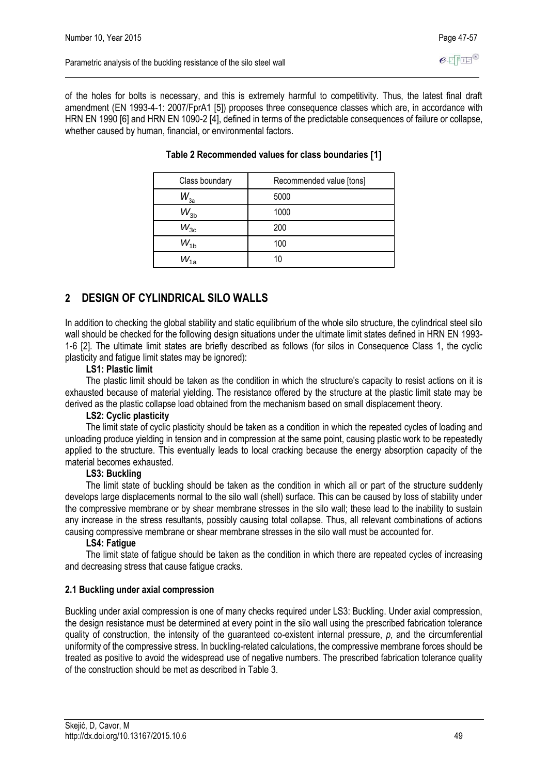of the holes for bolts is necessary, and this is extremely harmful to competitivity. Thus, the latest final draft amendment (EN 1993-4-1: 2007/FprA1 [5]) proposes three consequence classes which are, in accordance with HRN EN 1990 [6] and HRN EN 1090-2 [4], defined in terms of the predictable consequences of failure or collapse, whether caused by human, financial, or environmental factors.

| Class boundary | Recommended value [tons] |
|----------------|--------------------------|
| $W_{3a}$       | 5000                     |
| $W_{3b}$       | 1000                     |
| $W_{3c}$       | 200                      |
| $W_{1b}$       | 100                      |
| $W_{1a}$       | 10                       |

## **Table 2 Recommended values for class boundaries 1**

# **2 DESIGN OF CYLINDRICAL SILO WALLS**

In addition to checking the global stability and static equilibrium of the whole silo structure, the cylindrical steel silo wall should be checked for the following design situations under the ultimate limit states defined in HRN EN 1993- 1-6 [2]. The ultimate limit states are briefly described as follows (for silos in Consequence Class 1, the cyclic plasticity and fatigue Iimit states may be ignored):

## **LS1: Plastic limit**

The plastic limit should be taken as the condition in which the structure's capacity to resist actions on it is exhausted because of material yielding. The resistance offered by the structure at the plastic limit state may be derived as the plastic collapse load obtained from the mechanism based on small displacement theory.

## **LS2: Cyclic plasticity**

The limit state of cyclic plasticity should be taken as a condition in which the repeated cycles of loading and unloading produce yielding in tension and in compression at the same point, causing plastic work to be repeatedly applied to the structure. This eventually leads to local cracking because the energy absorption capacity of the material becomes exhausted.

## **LS3: Buckling**

The limit state of buckling should be taken as the condition in which all or part of the structure suddenly develops large displacements normal to the silo wall (shell) surface. This can be caused by loss of stability under the compressive membrane or by shear membrane stresses in the silo wall; these lead to the inability to sustain any increase in the stress resultants, possibly causing total collapse. Thus, all relevant combinations of actions causing compressive membrane or shear membrane stresses in the silo wall must be accounted for.

## **LS4: Fatigue**

The limit state of fatigue should be taken as the condition in which there are repeated cycles of increasing and decreasing stress that cause fatigue cracks.

# **2.1 Buckling under axial compression**

Buckling under axial compression is one of many checks required under LS3: Buckling. Under axial compression, the design resistance must be determined at every point in the silo wall using the prescribed fabrication tolerance quality of construction, the intensity of the guaranteed co-existent internal pressure, *p*, and the circumferential uniformity of the compressive stress. In buckling-related calculations, the compressive membrane forces should be treated as positive to avoid the widespread use of negative numbers. The prescribed fabrication tolerance quality of the construction should be met as described in Table 3.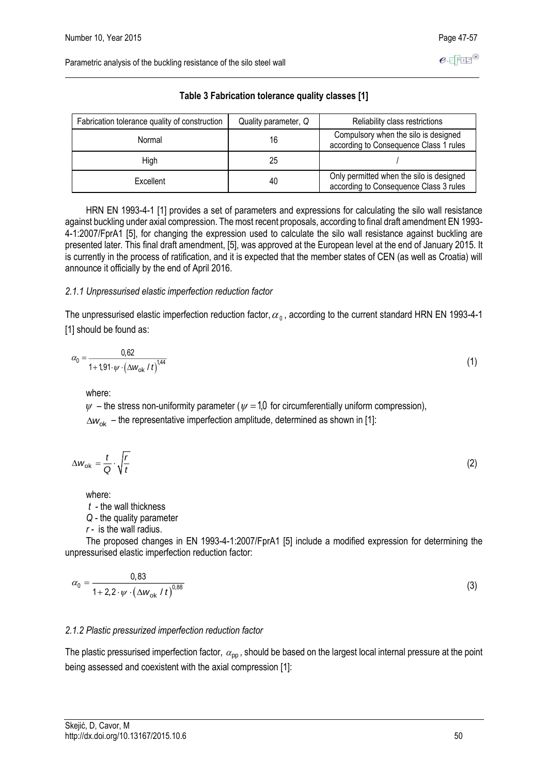| Fabrication tolerance quality of construction | Quality parameter, Q | Reliability class restrictions                                                     |
|-----------------------------------------------|----------------------|------------------------------------------------------------------------------------|
| Normal                                        | 16                   | Compulsory when the silo is designed<br>according to Consequence Class 1 rules     |
| High                                          | 25                   |                                                                                    |
| Excellent                                     | 40                   | Only permitted when the silo is designed<br>according to Consequence Class 3 rules |

**Table 3 Fabrication tolerance quality classes [1]**

HRN EN 1993-4-1 [1] provides a set of parameters and expressions for calculating the silo wall resistance against buckling under axial compression. The most recent proposals, according to final draft amendment EN 1993- 4-1:2007/FprA1 [5], for changing the expression used to calculate the silo wall resistance against buckling are presented later. This final draft amendment, [5], was approved at the European level at the end of January 2015. It is currently in the process of ratification, and it is expected that the member states of CEN (as well as Croatia) will announce it officially by the end of April 2016.

#### *2.1.1 Unpressurised elastic imperfection reduction factor*

The unpressurised elastic imperfection reduction factor,  $\alpha_{\rm 0}$ , according to the current standard HRN EN 1993-4-1 [1] should be found as:

$$
\alpha_0 = \frac{0.62}{1 + 1.91 \cdot \psi \cdot (\Delta w_{\rm ok}/t)^{1.44}}
$$
(1)

where:

 $\psi$  – the stress non-uniformity parameter ( $\psi$  = 1,0 for circumferentially uniform compression), ∆w<sub>ok</sub> – the representative imperfection amplitude, determined as shown in [1]:

$$
\Delta w_{\rm ok} = \frac{t}{Q} \cdot \sqrt{\frac{r}{t}} \tag{2}
$$

where:

*t* - the wall thickness

*Q -* the quality parameter

*r -* is the wall radius.

The proposed changes in EN 1993-4-1:2007/FprA1 [5] include a modified expression for determining the unpressurised elastic imperfection reduction factor:

$$
\alpha_0 = \frac{0.83}{1 + 2.2 \cdot \psi \cdot (\Delta w_{\text{ok}} / t)^{0.88}}
$$
(3)

## *2.1.2 Plastic pressurized imperfection reduction factor*

The plastic pressurised imperfection factor,  $\alpha_{\rm pp}$  , should be based on the largest local internal pressure at the point being assessed and coexistent with the axial compression [1]: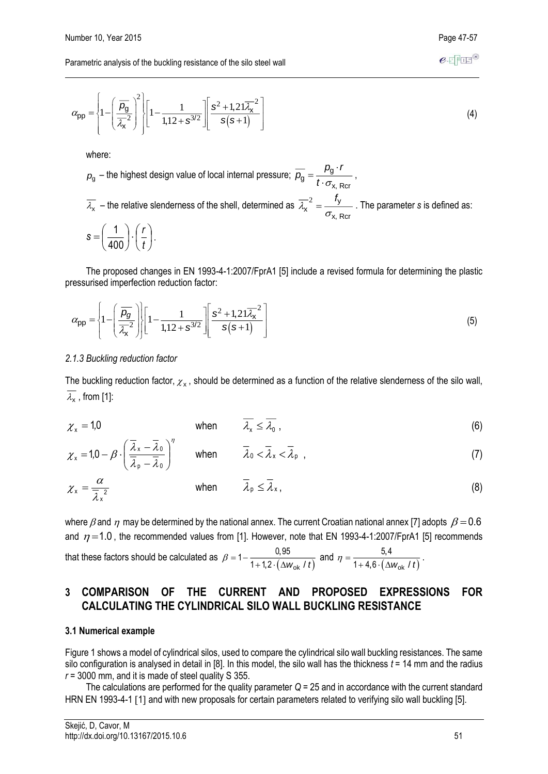$$
e\in\overline{\mathrm{Fib}}^\circledast
$$

$$
\alpha_{\rm pp} = \left\{ 1 - \left( \frac{\overline{\rho_{\rm g}}}{\overline{\lambda_{\rm x}}} \right)^2 \left| \left[ 1 - \frac{1}{1, 12 + s^{3/2}} \right] \left[ \frac{s^2 + 1, 21 \overline{\lambda_{\rm x}}^2}{s(s+1)} \right] \right. \tag{4}
$$

where:

$$
p_g
$$
 – the highest design value of local internal pressure;  $\overline{p_g} = \frac{p_g \cdot r}{t \cdot \sigma_{x, \text{ Rcr}}}$ ,  

$$
\overline{\lambda_x}
$$
 – the relative slenders of the shell, determined as  $\overline{\lambda_x}^2 = \frac{f_y}{\sigma_{x, \text{ Rcr}}}$ . The parameter *s* is defined as:  

$$
s = \left(\frac{1}{400}\right) \cdot \left(\frac{r}{t}\right).
$$

The proposed changes in EN 1993-4-1:2007/FprA1 [5] include a revised formula for determining the plastic pressurised imperfection reduction factor:

$$
\alpha_{\rm pp} = \left\{ 1 - \left( \frac{\overline{\rho_g}}{\overline{\lambda_x}^2} \right) \middle| \left[ 1 - \frac{1}{1, 12 + s^{3/2}} \right] \left[ \frac{s^2 + 1, 21 \overline{\lambda_x}^2}{s(s+1)} \right] \right\} \tag{5}
$$

#### *2.1.3 Buckling reduction factor*

The buckling reduction factor,  $\chi_{\mathsf{x}}$ , should be determined as a function of the relative slenderness of the silo wall,  $\lambda_{\mathsf{x}}$  , from [1]:

 $\chi_{\rm x} = 1,0$ when  $\lambda_{\mathsf{x}} \leq \lambda_{\mathsf{0}}$ ,  $(6)$ 

$$
\chi_{\mathbf{x}} = 1, 0 - \beta \cdot \left(\frac{\overline{\lambda}_{\mathbf{x}} - \overline{\lambda}_{0}}{\overline{\lambda}_{\mathbf{p}} - \overline{\lambda}_{0}}\right)^{\eta} \qquad \text{when} \qquad \overline{\lambda}_{0} < \overline{\lambda}_{\mathbf{x}} < \overline{\lambda}_{\mathbf{p}} , \qquad (7)
$$

$$
\chi_{\mathsf{x}} = \frac{\alpha}{\overline{\lambda}_{\mathsf{x}}^2} \qquad \qquad \text{when} \qquad \overline{\lambda}_{\mathsf{p}} \leq \overline{\lambda}_{\mathsf{x}} \,, \tag{8}
$$

where  $\beta$  and  $\,\eta\,$  may be determined by the national annex. The current Croatian national annex [7] adopts  $\,\beta$   $=$   $0.6$ and  $\eta$  = 1.0, the recommended values from [1]. However, note that EN 1993-4-1:2007/FprA1 [5] recommends that these factors should be calculated as  $\beta = 1 - \frac{6}{1 + 1, 2 \cdot (\Delta w_{ok} / t)}$ + 1, 2  $\cdot$  (  $\Delta w_{\rm ok}$  $\frac{6,00}{2 \cdot (\Delta w_{\rm ok}/t)}$  $1-\frac{0.95}{1+1.2\cdot(\Delta w_{\rm ok}/t)}$  and  $\eta=\frac{5.4}{1+4.6\cdot(\Delta w_{\rm ok}/t)}$  $\frac{6}{6}$   $\frac{6}{4}$   $\frac{6}{4}$   $\frac{6}{4}$ 5.4  $\frac{9}{1+4.6\cdot(\Delta W_{\rm sh}/t)}$ .

# **3 COMPARISON OF THE CURRENT AND PROPOSED EXPRESSIONS FOR CALCULATING THE CYLINDRICAL SILO WALL BUCKLING RESISTANCE**

#### **3.1 Numerical example**

Figure 1 shows a model of cylindrical silos, used to compare the cylindrical silo wall buckling resistances. The same silo configuration is analysed in detail in [8]. In this model, the silo wall has the thickness *t* = 14 mm and the radius  $r = 3000$  mm, and it is made of steel quality S 355.

The calculations are performed for the quality parameter *Q* = 25 and in accordance with the current standard HRN EN 1993-4-1 [1] and with new proposals for certain parameters related to verifying silo wall buckling [5].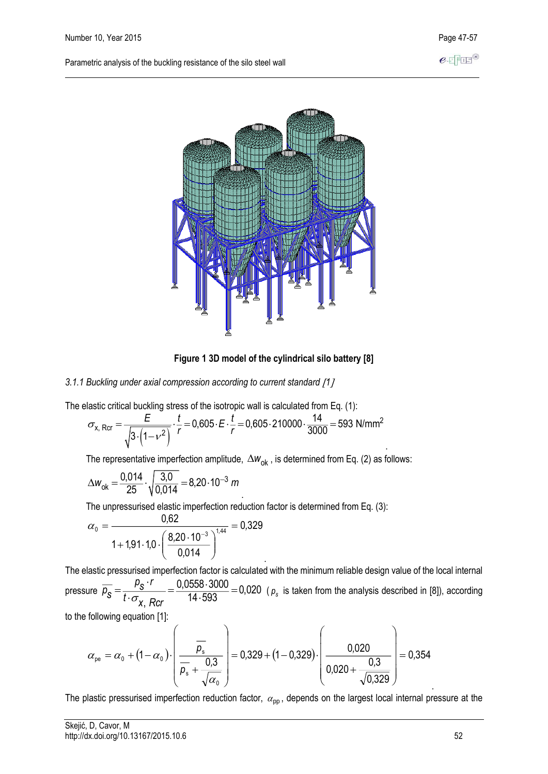

**Figure 1 3D model of the cylindrical silo battery [8]**

#### *3.1.1 Buckling under axial compression according to current standard 1*

The elastic critical buckling stress of the isotropic wall is calculated from Eq. (1):

$$
\sigma_{x, \text{Rcr}} = \frac{E}{\sqrt{3 \cdot (1 - v^2)}} \cdot \frac{t}{r} = 0,605 \cdot E \cdot \frac{t}{r} = 0,605 \cdot 210000 \cdot \frac{14}{3000} = 593 \text{ N/mm}^2
$$

The representative imperfection amplitude,  $\Delta w_{\rm ok}$  , is determined from Eq. (2) as follows:

$$
\Delta w_{\rm ok} = \frac{0.014}{25} \cdot \sqrt{\frac{3.0}{0.014}} = 8.20 \cdot 10^{-3} \ m
$$

. The unpressurised elastic imperfection reduction factor is determined from Eq. (3):

$$
\alpha_0 = \frac{0.62}{1 + 1.91 \cdot 1.0 \cdot \left(\frac{8.20 \cdot 10^{-3}}{0.014}\right)^{1.44}} = 0.329
$$

. The elastic pressurised imperfection factor is calculated with the minimum reliable design value of the local internal pressure  $p_{\mathcal{S}} = \frac{1}{t \cdot \sigma}$ .  $=\frac{rS}{1} = \frac{0.0330 \cdot 3000}{1} =$  $\cdot \circ_{\mathsf{x}, \; \mathsf{Rcr}}$  is  $\cdot$  $\frac{0,0558\cdot 3000}{14\cdot 593}$  = 0,020 ( $\rho_{s}$  is taken from the analysis described in [8]), according  $\overline{p}_{s} = \frac{p_{s} \cdot r}{t \cdot \sigma_{x} R}$ 

to the following equation [1]:

$$
\alpha_{\text{pe}} = \alpha_0 + (1 - \alpha_0) \cdot \left( \frac{\overline{p_s}}{\overline{p_s} + \frac{0.3}{\sqrt{\alpha_0}}} \right) = 0.329 + (1 - 0.329) \cdot \left( \frac{0.020}{0.020 + \frac{0.3}{\sqrt{0.329}}} \right) = 0.354
$$

The plastic pressurised imperfection reduction factor,  $\alpha_{\rm pp}$ , depends on the largest local internal pressure at the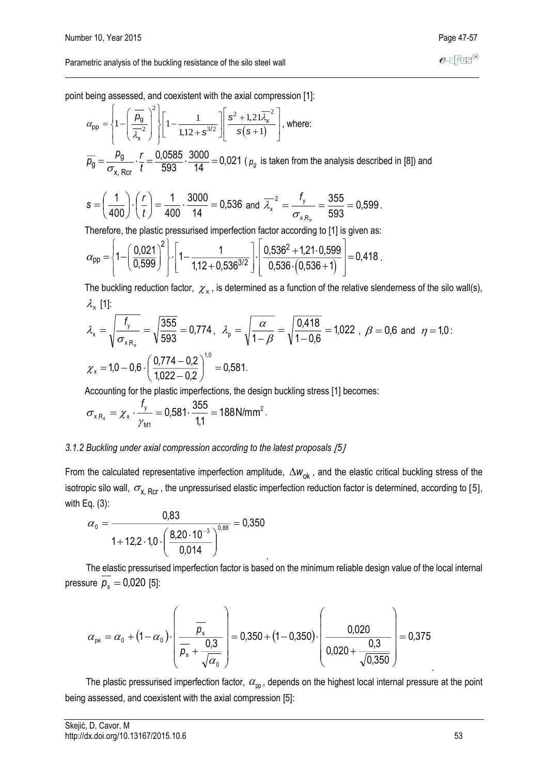point being assessed, and coexistent with the axial compression [1]:

$$
\alpha_{\rm pp} = \left\{ 1 - \left( \frac{\overline{\rho}_{\rm g}}{\overline{\lambda}_{\rm x}} \right)^2 \right\} \left[ 1 - \frac{1}{1, 12 + s^{3/2}} \right] \left[ \frac{s^2 + 1, 21 \overline{\lambda}_{\rm x}}{s(s+1)} \right], \text{ where:}
$$
\n
$$
\overline{\rho}_{\rm g} = \frac{\rho_{\rm g}}{\sigma_{\rm x, Rcr}} \cdot \frac{r}{t} = \frac{0,0585}{593} \cdot \frac{3000}{14} = 0,021 \text{ ($\rho_{\rm g}$ is taken from the analysis described in [8]) and}
$$

$$
s = \left(\frac{1}{400}\right) \cdot \left(\frac{r}{t}\right) = \frac{1}{400} \cdot \frac{3000}{14} = 0,536 \text{ and } \overline{\lambda_x}^2 = \frac{f_y}{\sigma_{x,R_\alpha}} = \frac{355}{593} = 0,599.
$$

Therefore, the plastic pressurised imperfection factor according to [1] is given as:

$$
\alpha_{\text{pp}} = \left\{1 - \left(\frac{0.021}{0.599}\right)^2\right\} \cdot \left[1 - \frac{1}{1.12 + 0.536^{3/2}}\right] \cdot \left[\frac{0.536^2 + 1.21 \cdot 0.599}{0.536 \cdot (0.536 + 1)}\right] = 0.418.
$$

The buckling reduction factor,  $\chi_{\mathsf{x}}$ , is determined as a function of the relative slenderness of the silo wall(s),  $\lambda_{\mathsf{x}}^{\phantom{\dag}}$  [1]:

$$
\lambda_{x} = \sqrt{\frac{f_{y}}{\sigma_{xR_{\alpha}}}} = \sqrt{\frac{355}{593}} = 0.774, \quad \lambda_{p} = \sqrt{\frac{\alpha}{1-\beta}} = \sqrt{\frac{0.418}{1-0.6}} = 1.022, \quad \beta = 0.6 \text{ and } \eta = 1.022.
$$

$$
\chi_{x} = 1.0 - 0.6 \cdot \left(\frac{0.774 - 0.2}{1.022 - 0.2}\right)^{1.0} = 0.581.
$$

Accounting for the plastic imperfections, the design buckling stress [1] becomes:

$$
\sigma_{xR_d} = \chi_x \cdot \frac{f_y}{\gamma_{M1}} = 0.581 \cdot \frac{355}{1,1} = 188 \text{ N/mm}^2.
$$

## *3.1.2 Buckling under axial compression according to the latest proposals 5*

From the calculated representative imperfection amplitude,  $\Delta w_{ok}$ , and the elastic critical buckling stress of the isotropic silo wall,  $\sigma_{\rm x,~Rcr}$  , the unpressurised elastic imperfection reduction factor is determined, according to [5], with Eq. (3):

$$
\alpha_0 = \frac{0.83}{1 + 12.2 \cdot 1.0 \cdot \left(\frac{8.20 \cdot 10^{-3}}{0.014}\right)^{0.88}} = 0.350
$$

The elastic pressurised imperfection factor is based on the minimum reliable design value of the local internal pressure  $p_{\rm s} =$  0,020 [5]:

.

$$
\alpha_{\text{pe}} = \alpha_0 + (1 - \alpha_0) \cdot \left( \frac{\overline{p_s}}{\overline{p_s} + \frac{0.3}{\sqrt{\alpha_0}}} \right) = 0.350 + (1 - 0.350) \cdot \left( \frac{0.020}{0.020 + \frac{0.3}{\sqrt{0.350}}} \right) = 0.375
$$

The plastic pressurised imperfection factor,  $\alpha_{_{\sf pp}}$ , depends on the highest local internal pressure at the point being assessed, and coexistent with the axial compression [5]: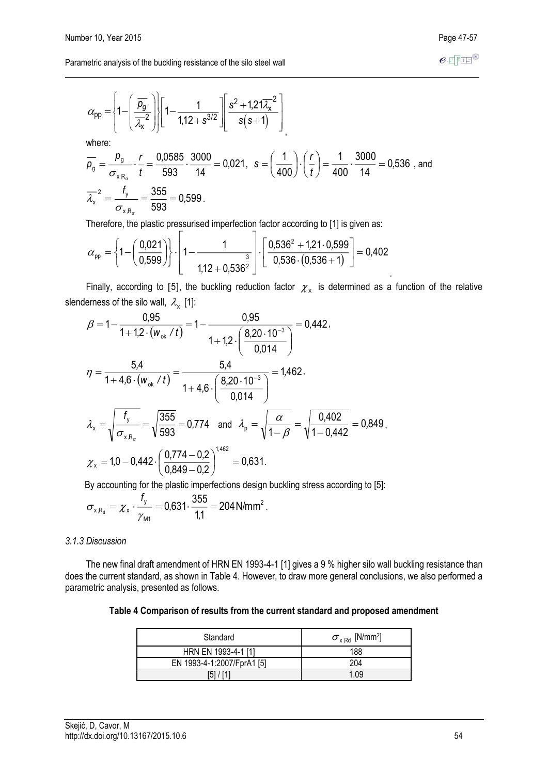$$
\alpha_{\text{pp}} = \left\{ 1 - \left( \frac{\overline{\rho_g}}{\overline{\lambda_x^2}} \right) \right\} \left[ 1 - \frac{1}{1.12 + s^{3/2}} \right] \left[ \frac{s^2 + 1.21 \overline{\lambda_x^2}}{s(s+1)} \right]
$$
\nwhere:  
\n
$$
\overline{\rho_g} = \frac{\rho_g}{\sigma_{xR_g}} \cdot \frac{r}{t} = \frac{0.0585}{593} \cdot \frac{3000}{14} = 0.021, \quad s = \left( \frac{1}{400} \right) \cdot \left( \frac{r}{t} \right) = \frac{1}{400} \cdot \frac{3000}{14} = 0.536 \text{ , and}
$$
\n
$$
\overline{\lambda_x^2} = \frac{f_y}{\sigma_{xR_g}} = \frac{355}{593} = 0.599.
$$

Therefore, the plastic pressurised imperfection factor according to [1] is given as:

$$
\alpha_{\text{pp}} = \left\{1 - \left(\frac{0.021}{0.599}\right)\right\} \cdot \left[1 - \frac{1}{1.12 + 0.536^{\frac{3}{2}}}\right] \cdot \left[\frac{0.536^2 + 1.21 \cdot 0.599}{0.536 \cdot (0.536 + 1)}\right] = 0.402
$$

Finally, according to [5], the buckling reduction factor  $\chi_{\rm x}$  is determined as a function of the relative slenderness of the silo wall,  $\lambda_{\mathbf{x}}$  [1]:

$$
\beta = 1 - \frac{0.95}{1 + 1.2 \cdot (w_{ok} / t)} = 1 - \frac{0.95}{1 + 1.2 \cdot \left(\frac{8.20 \cdot 10^{-3}}{0.014}\right)} = 0.442,
$$
\n
$$
\eta = \frac{5.4}{1 + 4.6 \cdot (w_{ok} / t)} = \frac{5.4}{1 + 4.6 \cdot \left(\frac{8.20 \cdot 10^{-3}}{0.014}\right)} = 1.462,
$$
\n
$$
\lambda_x = \sqrt{\frac{f_y}{\sigma_{xR_{\sigma}}}} = \sqrt{\frac{355}{593}} = 0.774 \text{ and } \lambda_p = \sqrt{\frac{\alpha}{1 - \beta}} = \sqrt{\frac{0.402}{1 - 0.442}} = 0.849,
$$
\n
$$
\chi_x = 1.0 - 0.442 \cdot \left(\frac{0.774 - 0.2}{0.849 - 0.2}\right)^{1.462} = 0.631.
$$

By accounting for the plastic imperfections design buckling stress according to [5]:

$$
\sigma_{xR_d} = \chi_x \cdot \frac{f_y}{\gamma_{M1}} = 0.631 \cdot \frac{355}{1,1} = 204 \text{ N/mm}^2.
$$

#### *3.1.3 Discussion*

The new final draft amendment of HRN EN 1993-4-1 [1] gives a 9 % higher silo wall buckling resistance than does the current standard, as shown in Table 4. However, to draw more general conclusions, we also performed a parametric analysis, presented as follows.

| Table 4 Comparison of results from the current standard and proposed amendment |  |  |
|--------------------------------------------------------------------------------|--|--|
|--------------------------------------------------------------------------------|--|--|

| Standard                   | $\sigma_{\text{x,Rd}}$ [N/mm <sup>2</sup> ] |  |  |
|----------------------------|---------------------------------------------|--|--|
| HRN EN 1993-4-1 [1]        | 188                                         |  |  |
| EN 1993-4-1:2007/FprA1 [5] | 204                                         |  |  |
| 51                         | 1.09                                        |  |  |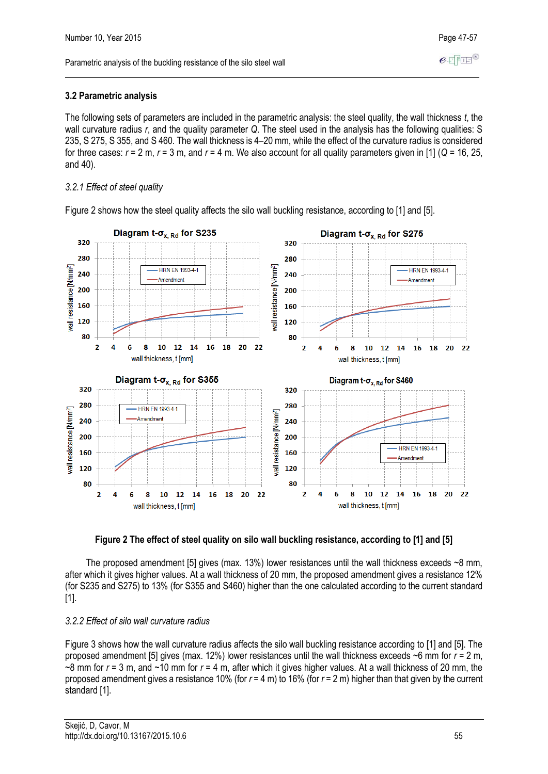The following sets of parameters are included in the parametric analysis: the steel quality, the wall thickness *t*, the wall curvature radius *r*, and the quality parameter *Q*. The steel used in the analysis has the following qualities: S 235, S 275, S 355, and S 460. The wall thickness is 4–20 mm, while the effect of the curvature radius is considered for three cases:  $r = 2$  m,  $r = 3$  m, and  $r = 4$  m. We also account for all quality parameters given in [1] ( $Q = 16, 25,$ and 40).

# *3.2.1 Effect of steel quality*



Figure 2 shows how the steel quality affects the silo wall buckling resistance, according to [1] and [5].



The proposed amendment [5] gives (max. 13%) lower resistances until the wall thickness exceeds ~8 mm, after which it gives higher values. At a wall thickness of 20 mm, the proposed amendment gives a resistance 12% (for S235 and S275) to 13% (for S355 and S460) higher than the one calculated according to the current standard [1].

# *3.2.2 Effect of silo wall curvature radius*

Figure 3 shows how the wall curvature radius affects the silo wall buckling resistance according to [1] and [5]. The proposed amendment [5] gives (max. 12%) lower resistances until the wall thickness exceeds ~6 mm for *r* = 2 m, ~8 mm for *r* = 3 m, and ~10 mm for *r* = 4 m, after which it gives higher values. At a wall thickness of 20 mm, the proposed amendment gives a resistance 10% (for *r* = 4 m) to 16% (for *r* = 2 m) higher than that given by the current standard [1].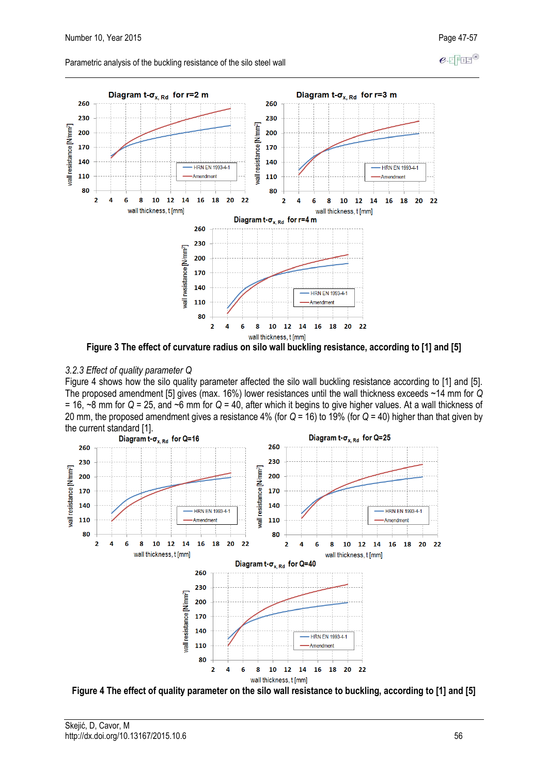$e$ -FFFF<sup>®</sup>

Parametric analysis of the buckling resistance of the silo steel wall



**Figure 3 The effect of curvature radius on silo wall buckling resistance, according to [1] and [5]**

## *3.2.3 Effect of quality parameter Q*

Figure 4 shows how the silo quality parameter affected the silo wall buckling resistance according to [1] and [5]. The proposed amendment [5] gives (max. 16%) lower resistances until the wall thickness exceeds ~14 mm for *Q* = 16, ~8 mm for *Q* = 25, and ~6 mm for *Q* = 40, after which it begins to give higher values. At a wall thickness of 20 mm, the proposed amendment gives a resistance 4% (for *Q* = 16) to 19% (for *Q* = 40) higher than that given by the current standard [1].<br>Diagram t- $\sigma_{x, Rd}$  for Q=16



**Figure 4 The effect of quality parameter on the silo wall resistance to buckling, according to [1] and [5]**